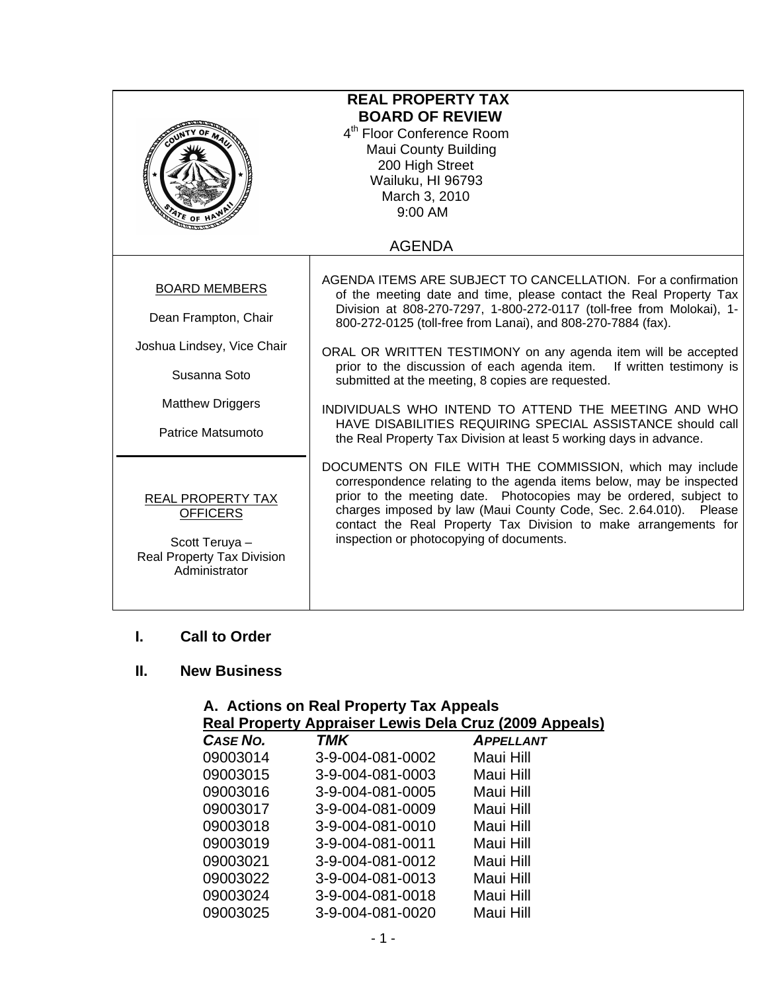| <b>REAL PROPERTY TAX</b><br><b>BOARD OF REVIEW</b><br>4 <sup>th</sup> Floor Conference Room<br><b>Maui County Building</b><br>200 High Street<br>Wailuku, HI 96793<br>March 3, 2010<br>9:00 AM<br>$Ar_{E}$ of |                                                                                                                                                                                                                                                                                                                                                                                                                                                                                                                                                                                                                                                                       |  |
|---------------------------------------------------------------------------------------------------------------------------------------------------------------------------------------------------------------|-----------------------------------------------------------------------------------------------------------------------------------------------------------------------------------------------------------------------------------------------------------------------------------------------------------------------------------------------------------------------------------------------------------------------------------------------------------------------------------------------------------------------------------------------------------------------------------------------------------------------------------------------------------------------|--|
|                                                                                                                                                                                                               | <b>AGENDA</b>                                                                                                                                                                                                                                                                                                                                                                                                                                                                                                                                                                                                                                                         |  |
| <b>BOARD MEMBERS</b><br>Dean Frampton, Chair<br>Joshua Lindsey, Vice Chair<br>Susanna Soto<br><b>Matthew Driggers</b><br>Patrice Matsumoto                                                                    | AGENDA ITEMS ARE SUBJECT TO CANCELLATION. For a confirmation<br>of the meeting date and time, please contact the Real Property Tax<br>Division at 808-270-7297, 1-800-272-0117 (toll-free from Molokai), 1-<br>800-272-0125 (toll-free from Lanai), and 808-270-7884 (fax).<br>ORAL OR WRITTEN TESTIMONY on any agenda item will be accepted<br>prior to the discussion of each agenda item. If written testimony is<br>submitted at the meeting, 8 copies are requested.<br>INDIVIDUALS WHO INTEND TO ATTEND THE MEETING AND WHO<br>HAVE DISABILITIES REQUIRING SPECIAL ASSISTANCE should call<br>the Real Property Tax Division at least 5 working days in advance. |  |
| <b>REAL PROPERTY TAX</b><br><b>OFFICERS</b><br>Scott Teruya -<br>Real Property Tax Division<br>Administrator                                                                                                  | DOCUMENTS ON FILE WITH THE COMMISSION, which may include<br>correspondence relating to the agenda items below, may be inspected<br>prior to the meeting date. Photocopies may be ordered, subject to<br>charges imposed by law (Maui County Code, Sec. 2.64.010). Please<br>contact the Real Property Tax Division to make arrangements for<br>inspection or photocopying of documents.                                                                                                                                                                                                                                                                               |  |

## **I. Call to Order**

## **II. New Business**

# **A. Actions on Real Property Tax Appeals Real Property Appraiser Lewis Dela Cruz (2009 Appeals)**

| <b>CASE NO.</b> | <b>TMK</b>       | <b>APPELLANT</b> |
|-----------------|------------------|------------------|
| 09003014        | 3-9-004-081-0002 | Maui Hill        |
| 09003015        | 3-9-004-081-0003 | Maui Hill        |
| 09003016        | 3-9-004-081-0005 | Maui Hill        |
| 09003017        | 3-9-004-081-0009 | Maui Hill        |
| 09003018        | 3-9-004-081-0010 | Maui Hill        |
| 09003019        | 3-9-004-081-0011 | Maui Hill        |
| 09003021        | 3-9-004-081-0012 | Maui Hill        |
| 09003022        | 3-9-004-081-0013 | Maui Hill        |
| 09003024        | 3-9-004-081-0018 | Maui Hill        |
| 09003025        | 3-9-004-081-0020 | Maui Hill        |
|                 |                  |                  |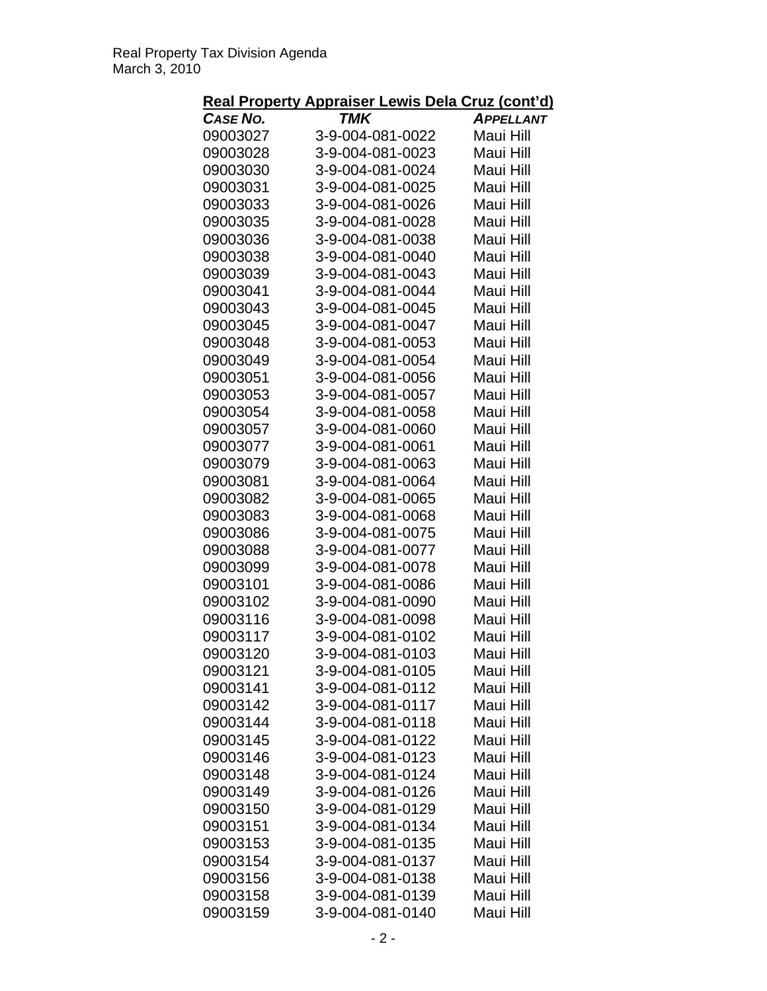|                      | Real Property Appraiser Lewis Dela Cruz (cont'd) |           |
|----------------------|--------------------------------------------------|-----------|
| <b>CASE NO.</b>      | TMK                                              | APPELLANT |
| 09003027             | 3-9-004-081-0022                                 | Maui Hill |
| 09003028             | 3-9-004-081-0023                                 | Maui Hill |
| 09003030             | 3-9-004-081-0024                                 | Maui Hill |
| 09003031             | 3-9-004-081-0025                                 | Maui Hill |
| 09003033             | 3-9-004-081-0026                                 | Maui Hill |
| 09003035             | 3-9-004-081-0028                                 | Maui Hill |
| 09003036             | 3-9-004-081-0038                                 | Maui Hill |
| 09003038             | 3-9-004-081-0040                                 | Maui Hill |
| 09003039             | 3-9-004-081-0043                                 | Maui Hill |
| 09003041             | 3-9-004-081-0044                                 | Maui Hill |
| 09003043             | 3-9-004-081-0045                                 | Maui Hill |
| 09003045             | 3-9-004-081-0047                                 | Maui Hill |
| 09003048             | 3-9-004-081-0053                                 | Maui Hill |
| 09003049             | 3-9-004-081-0054                                 | Maui Hill |
| 09003051             | 3-9-004-081-0056                                 | Maui Hill |
| 09003053             | 3-9-004-081-0057                                 | Maui Hill |
| 09003054             | 3-9-004-081-0058                                 | Maui Hill |
| 09003057             | 3-9-004-081-0060                                 | Maui Hill |
| 09003077             | 3-9-004-081-0061                                 | Maui Hill |
| 09003079             | 3-9-004-081-0063                                 | Maui Hill |
| 09003081             | 3-9-004-081-0064                                 | Maui Hill |
| 09003082             | 3-9-004-081-0065                                 | Maui Hill |
| 09003083             | 3-9-004-081-0068                                 | Maui Hill |
| 09003086             | 3-9-004-081-0075                                 | Maui Hill |
| 09003088             | 3-9-004-081-0077                                 | Maui Hill |
| 09003099             | 3-9-004-081-0078                                 | Maui Hill |
| 09003101             | 3-9-004-081-0086                                 | Maui Hill |
| 09003102             | 3-9-004-081-0090                                 | Maui Hill |
| 09003116             | 3-9-004-081-0098                                 | Maui Hill |
| 09003117             | 3-9-004-081-0102                                 | Maui Hill |
| 09003120             | 3-9-004-081-0103                                 | Maui Hill |
| 09003121             | 3-9-004-081-0105                                 | Maui Hill |
| 09003141             | 3-9-004-081-0112                                 | Maui Hill |
| 09003142             | 3-9-004-081-0117                                 | Maui Hill |
| 09003144             | 3-9-004-081-0118                                 | Maui Hill |
| 09003145             | 3-9-004-081-0122                                 | Maui Hill |
| 09003146             | 3-9-004-081-0123                                 | Maui Hill |
| 09003148             | 3-9-004-081-0124                                 | Maui Hill |
|                      |                                                  | Maui Hill |
| 09003149<br>09003150 | 3-9-004-081-0126                                 |           |
|                      | 3-9-004-081-0129                                 | Maui Hill |
| 09003151             | 3-9-004-081-0134                                 | Maui Hill |
| 09003153             | 3-9-004-081-0135                                 | Maui Hill |
| 09003154             | 3-9-004-081-0137                                 | Maui Hill |
| 09003156             | 3-9-004-081-0138                                 | Maui Hill |
| 09003158             | 3-9-004-081-0139                                 | Maui Hill |
| 09003159             | 3-9-004-081-0140                                 | Maui Hill |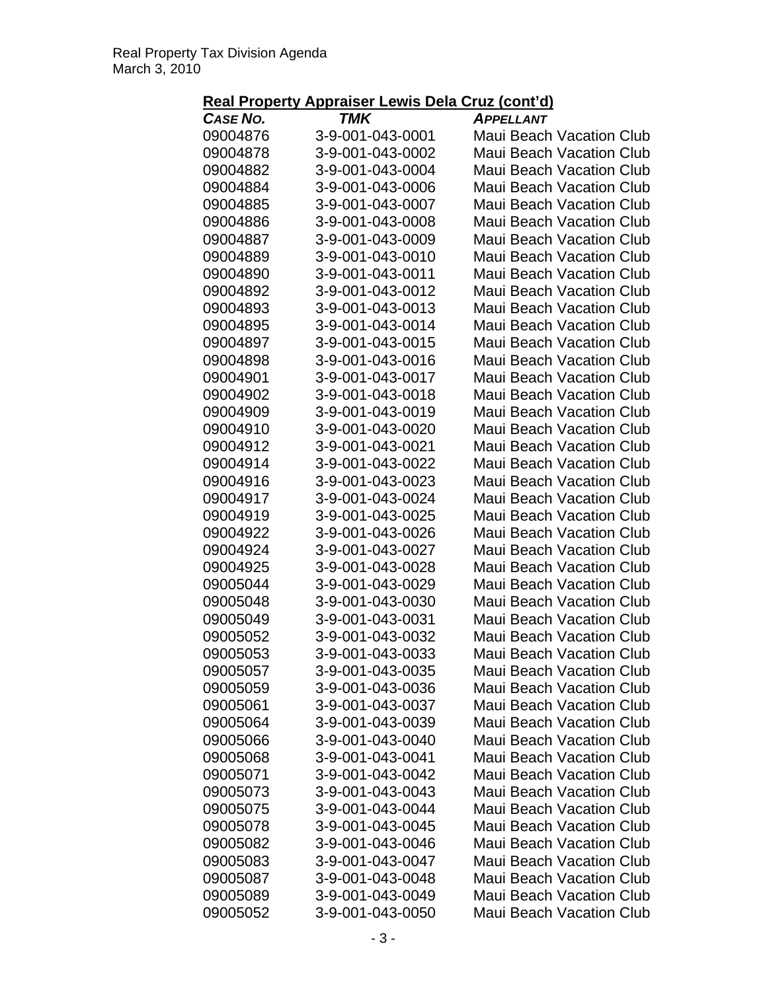## **Real Property Appraiser Lewis Dela Cruz (cont'd)**

| <b>CASE NO.</b>      | <b>TMK</b>                           | <b>APPELLANT</b>                                                   |
|----------------------|--------------------------------------|--------------------------------------------------------------------|
| 09004876             | 3-9-001-043-0001                     | <b>Maui Beach Vacation Club</b>                                    |
| 09004878             | 3-9-001-043-0002                     | <b>Maui Beach Vacation Club</b>                                    |
| 09004882             | 3-9-001-043-0004                     | <b>Maui Beach Vacation Club</b>                                    |
| 09004884             | 3-9-001-043-0006                     | <b>Maui Beach Vacation Club</b>                                    |
| 09004885             | 3-9-001-043-0007                     | <b>Maui Beach Vacation Club</b>                                    |
| 09004886             | 3-9-001-043-0008                     | <b>Maui Beach Vacation Club</b>                                    |
| 09004887             | 3-9-001-043-0009                     | <b>Maui Beach Vacation Club</b>                                    |
| 09004889             | 3-9-001-043-0010                     | <b>Maui Beach Vacation Club</b>                                    |
| 09004890             | 3-9-001-043-0011                     | <b>Maui Beach Vacation Club</b>                                    |
| 09004892             | 3-9-001-043-0012                     | <b>Maui Beach Vacation Club</b>                                    |
| 09004893             | 3-9-001-043-0013                     | <b>Maui Beach Vacation Club</b>                                    |
| 09004895             | 3-9-001-043-0014                     | <b>Maui Beach Vacation Club</b>                                    |
| 09004897             | 3-9-001-043-0015                     | <b>Maui Beach Vacation Club</b>                                    |
| 09004898             | 3-9-001-043-0016                     | <b>Maui Beach Vacation Club</b>                                    |
| 09004901             | 3-9-001-043-0017                     | <b>Maui Beach Vacation Club</b>                                    |
| 09004902             | 3-9-001-043-0018                     | <b>Maui Beach Vacation Club</b>                                    |
| 09004909             | 3-9-001-043-0019                     | <b>Maui Beach Vacation Club</b>                                    |
| 09004910             | 3-9-001-043-0020                     | <b>Maui Beach Vacation Club</b>                                    |
| 09004912             | 3-9-001-043-0021                     | <b>Maui Beach Vacation Club</b>                                    |
| 09004914             | 3-9-001-043-0022                     | <b>Maui Beach Vacation Club</b>                                    |
| 09004916             | 3-9-001-043-0023                     | Maui Beach Vacation Club                                           |
| 09004917             | 3-9-001-043-0024                     | <b>Maui Beach Vacation Club</b>                                    |
| 09004919             | 3-9-001-043-0025                     | <b>Maui Beach Vacation Club</b>                                    |
| 09004922             | 3-9-001-043-0026                     | <b>Maui Beach Vacation Club</b>                                    |
| 09004924             | 3-9-001-043-0027                     | <b>Maui Beach Vacation Club</b>                                    |
| 09004925             | 3-9-001-043-0028                     | <b>Maui Beach Vacation Club</b>                                    |
| 09005044             | 3-9-001-043-0029                     | <b>Maui Beach Vacation Club</b>                                    |
| 09005048             | 3-9-001-043-0030                     | <b>Maui Beach Vacation Club</b>                                    |
| 09005049             | 3-9-001-043-0031                     | <b>Maui Beach Vacation Club</b>                                    |
| 09005052<br>09005053 | 3-9-001-043-0032                     | <b>Maui Beach Vacation Club</b>                                    |
| 09005057             | 3-9-001-043-0033<br>3-9-001-043-0035 | <b>Maui Beach Vacation Club</b><br><b>Maui Beach Vacation Club</b> |
| 09005059             | 3-9-001-043-0036                     | <b>Maui Beach Vacation Club</b>                                    |
| 09005061             | 3-9-001-043-0037                     | Maui Beach Vacation Club                                           |
| 09005064             | 3-9-001-043-0039                     | Maui Beach Vacation Club                                           |
| 09005066             | 3-9-001-043-0040                     | <b>Maui Beach Vacation Club</b>                                    |
| 09005068             | 3-9-001-043-0041                     | <b>Maui Beach Vacation Club</b>                                    |
| 09005071             | 3-9-001-043-0042                     | <b>Maui Beach Vacation Club</b>                                    |
| 09005073             | 3-9-001-043-0043                     | <b>Maui Beach Vacation Club</b>                                    |
| 09005075             | 3-9-001-043-0044                     | <b>Maui Beach Vacation Club</b>                                    |
| 09005078             | 3-9-001-043-0045                     | <b>Maui Beach Vacation Club</b>                                    |
| 09005082             | 3-9-001-043-0046                     | <b>Maui Beach Vacation Club</b>                                    |
| 09005083             | 3-9-001-043-0047                     | <b>Maui Beach Vacation Club</b>                                    |
| 09005087             | 3-9-001-043-0048                     | <b>Maui Beach Vacation Club</b>                                    |
| 09005089             | 3-9-001-043-0049                     | <b>Maui Beach Vacation Club</b>                                    |
| 09005052             | 3-9-001-043-0050                     | <b>Maui Beach Vacation Club</b>                                    |